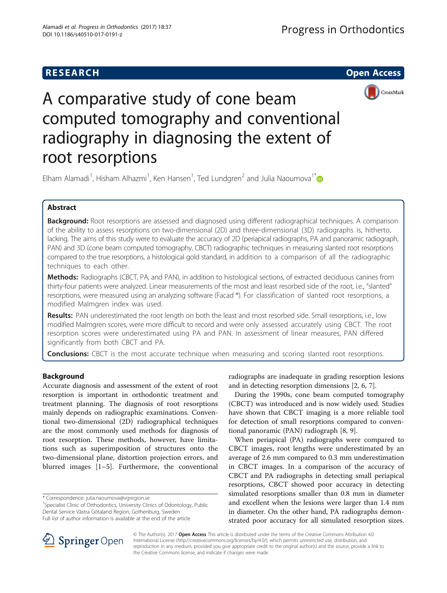## **RESEARCH CHE Open Access**



# A comparative study of cone beam computed tomography and conventional radiography in diagnosing the extent of root resorptions

Elham Alamadi<sup>1</sup>, Hisham Alhazmi<sup>1</sup>, Ken Hansen<sup>1</sup>, Ted Lundgren<sup>2</sup> and Julia Naoumova<sup>1\*</sup>

## Abstract

Background: Root resorptions are assessed and diagnosed using different radiographical techniques. A comparison of the ability to assess resorptions on two-dimensional (2D) and three-dimensional (3D) radiographs is, hitherto, lacking. The aims of this study were to evaluate the accuracy of 2D (periapical radiographs, PA and panoramic radiograph, PAN) and 3D (cone beam computed tomography, CBCT) radiographic techniques in measuring slanted root resorptions compared to the true resorptions, a histological gold standard, in addition to a comparison of all the radiographic techniques to each other.

Methods: Radiographs (CBCT, PA, and PAN), in addition to histological sections, of extracted deciduous canines from thirty-four patients were analyzed. Linear measurements of the most and least resorbed side of the root, i.e., "slanted" resorptions, were measured using an analyzing software (Facad ®). For classification of slanted root resorptions, a modified Malmgren index was used.

Results: PAN underestimated the root length on both the least and most resorbed side. Small resorptions, i.e., low modified Malmgren scores, were more difficult to record and were only assessed accurately using CBCT. The root resorption scores were underestimated using PA and PAN. In assessment of linear measures, PAN differed significantly from both CBCT and PA.

**Conclusions:** CBCT is the most accurate technique when measuring and scoring slanted root resorptions.

## Background

Accurate diagnosis and assessment of the extent of root resorption is important in orthodontic treatment and treatment planning. The diagnosis of root resorptions mainly depends on radiographic examinations. Conventional two-dimensional (2D) radiographical techniques are the most commonly used methods for diagnosis of root resorption. These methods, however, have limitations such as superimposition of structures onto the two-dimensional plane, distortion projection errors, and blurred images [[1](#page-6-0)–[5](#page-6-0)]. Furthermore, the conventional

\* Correspondence: [julia.naoumova@vgregion.se](mailto:julia.naoumova@vgregion.se) <sup>1</sup>

<sup>1</sup>Specialist Clinic of Orthodontics, University Clinics of Odontology, Public Dental Service Västra Götaland Region, Gothenburg, Sweden Full list of author information is available at the end of the article

radiographs are inadequate in grading resorption lesions and in detecting resorption dimensions [[2, 6, 7\]](#page-6-0).

During the 1990s, cone beam computed tomography (CBCT) was introduced and is now widely used. Studies have shown that CBCT imaging is a more reliable tool for detection of small resorptions compared to conventional panoramic (PAN) radiograph [\[8](#page-6-0), [9](#page-6-0)].

When periapical (PA) radiographs were compared to CBCT images, root lengths were underestimated by an average of 2.6 mm compared to 0.3 mm underestimation in CBCT images. In a comparison of the accuracy of CBCT and PA radiographs in detecting small periapical resorptions, CBCT showed poor accuracy in detecting simulated resorptions smaller than 0.8 mm in diameter and excellent when the lesions were larger than 1.4 mm in diameter. On the other hand, PA radiographs demonstrated poor accuracy for all simulated resorption sizes.



© The Author(s). 2017 **Open Access** This article is distributed under the terms of the Creative Commons Attribution 4.0 International License ([http://creativecommons.org/licenses/by/4.0/\)](http://creativecommons.org/licenses/by/4.0/), which permits unrestricted use, distribution, and reproduction in any medium, provided you give appropriate credit to the original author(s) and the source, provide a link to the Creative Commons license, and indicate if changes were made.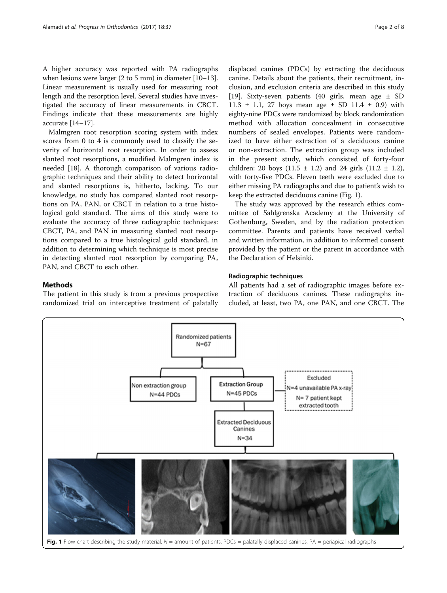A higher accuracy was reported with PA radiographs when lesions were larger (2 to 5 mm) in diameter [\[10](#page-6-0)–[13](#page-7-0)]. Linear measurement is usually used for measuring root length and the resorption level. Several studies have investigated the accuracy of linear measurements in CBCT. Findings indicate that these measurements are highly accurate [[14](#page-7-0)–[17\]](#page-7-0).

Malmgren root resorption scoring system with index scores from 0 to 4 is commonly used to classify the severity of horizontal root resorption. In order to assess slanted root resorptions, a modified Malmgren index is needed [\[18](#page-7-0)]. A thorough comparison of various radiographic techniques and their ability to detect horizontal and slanted resorptions is, hitherto, lacking. To our knowledge, no study has compared slanted root resorptions on PA, PAN, or CBCT in relation to a true histological gold standard. The aims of this study were to evaluate the accuracy of three radiographic techniques: CBCT, PA, and PAN in measuring slanted root resorptions compared to a true histological gold standard, in addition to determining which technique is most precise in detecting slanted root resorption by comparing PA, PAN, and CBCT to each other.

## displaced canines (PDCs) by extracting the deciduous canine. Details about the patients, their recruitment, inclusion, and exclusion criteria are described in this study [[19\]](#page-7-0). Sixty-seven patients (40 girls, mean age ± SD 11.3  $\pm$  1.1, 27 boys mean age  $\pm$  SD 11.4  $\pm$  0.9) with eighty-nine PDCs were randomized by block randomization method with allocation concealment in consecutive numbers of sealed envelopes. Patients were randomized to have either extraction of a deciduous canine or non-extraction. The extraction group was included in the present study, which consisted of forty-four children: 20 boys  $(11.5 \pm 1.2)$  and 24 girls  $(11.2 \pm 1.2)$ , with forty-five PDCs. Eleven teeth were excluded due to

keep the extracted deciduous canine (Fig. 1). The study was approved by the research ethics committee of Sahlgrenska Academy at the University of Gothenburg, Sweden, and by the radiation protection committee. Parents and patients have received verbal and written information, in addition to informed consent provided by the patient or the parent in accordance with the Declaration of Helsinki.

either missing PA radiographs and due to patient's wish to

## Radiographic techniques

Methods

The patient in this study is from a previous prospective randomized trial on interceptive treatment of palatally All patients had a set of radiographic images before extraction of deciduous canines. These radiographs included, at least, two PA, one PAN, and one CBCT. The



Fig. 1 Flow chart describing the study material.  $N =$  amount of patients, PDCs = palatally displaced canines, PA = periapical radiographs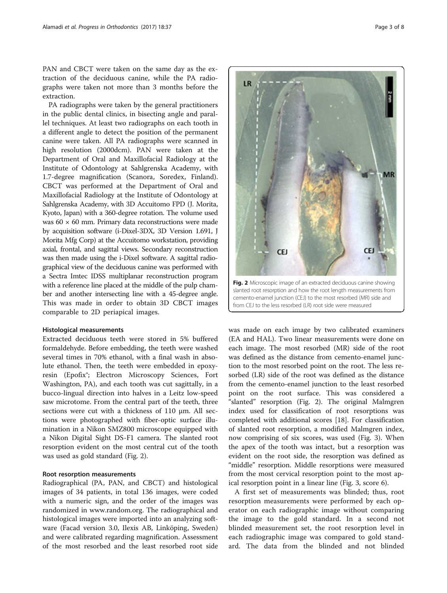PAN and CBCT were taken on the same day as the extraction of the deciduous canine, while the PA radiographs were taken not more than 3 months before the extraction.

PA radiographs were taken by the general practitioners in the public dental clinics, in bisecting angle and parallel techniques. At least two radiographs on each tooth in a different angle to detect the position of the permanent canine were taken. All PA radiographs were scanned in high resolution (2000dcm). PAN were taken at the Department of Oral and Maxillofacial Radiology at the Institute of Odontology at Sahlgrenska Academy, with 1.7-degree magnification (Scanora, Soredex, Finland). CBCT was performed at the Department of Oral and Maxillofacial Radiology at the Institute of Odontology at Sahlgrenska Academy, with 3D Accuitomo FPD (J. Morita, Kyoto, Japan) with a 360-degree rotation. The volume used was  $60 \times 60$  mm. Primary data reconstructions were made by acquisition software (i-Dixel-3DX, 3D Version 1.691, J Morita Mfg Corp) at the Accuitomo workstation, providing axial, frontal, and sagittal views. Secondary reconstruction was then made using the i-Dixel software. A sagittal radiographical view of the deciduous canine was performed with a Sectra Imtec IDSS multiplanar reconstruction program with a reference line placed at the middle of the pulp chamber and another intersecting line with a 45-degree angle. This was made in order to obtain 3D CBCT images comparable to 2D periapical images.

#### Histological measurements

Extracted deciduous teeth were stored in 5% buffered formaldehyde. Before embedding, the teeth were washed several times in 70% ethanol, with a final wash in absolute ethanol. Then, the teeth were embedded in epoxyresin (Epofix®; Electron Microscopy Sciences, Fort Washington, PA), and each tooth was cut sagittally, in a bucco-lingual direction into halves in a Leitz low-speed saw microtome. From the central part of the teeth, three sections were cut with a thickness of 110 μm. All sections were photographed with fiber-optic surface illumination in a Nikon SMZ800 microscope equipped with a Nikon Digital Sight DS-F1 camera. The slanted root resorption evident on the most central cut of the tooth was used as gold standard (Fig. 2).

#### Root resorption measurements

Radiographical (PA, PAN, and CBCT) and histological images of 34 patients, in total 136 images, were coded with a numeric sign, and the order of the images was randomized in [www.random.org.](http://www.random.org) The radiographical and histological images were imported into an analyzing software (Facad version 3.0, Ilexis AB, Linköping, Sweden) and were calibrated regarding magnification. Assessment of the most resorbed and the least resorbed root side



was made on each image by two calibrated examiners (EA and HAL). Two linear measurements were done on each image. The most resorbed (MR) side of the root was defined as the distance from cemento-enamel junction to the most resorbed point on the root. The less resorbed (LR) side of the root was defined as the distance from the cemento-enamel junction to the least resorbed point on the root surface. This was considered a "slanted" resorption (Fig. 2). The original Malmgren index used for classification of root resorptions was completed with additional scores [[18\]](#page-7-0). For classification of slanted root resorption, a modified Malmgren index, now comprising of six scores, was used (Fig. [3](#page-3-0)). When the apex of the tooth was intact, but a resorption was evident on the root side, the resorption was defined as "middle" resorption. Middle resorptions were measured from the most cervical resorption point to the most apical resorption point in a linear line (Fig. [3,](#page-3-0) score 6).

A first set of measurements was blinded; thus, root resorption measurements were performed by each operator on each radiographic image without comparing the image to the gold standard. In a second not blinded measurement set, the root resorption level in each radiographic image was compared to gold standard. The data from the blinded and not blinded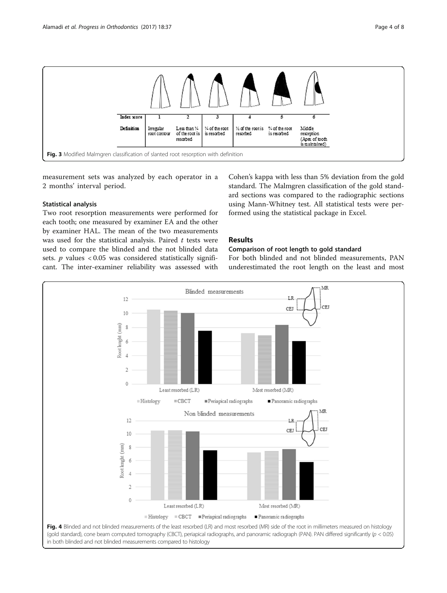<span id="page-3-0"></span>

measurement sets was analyzed by each operator in a 2 months' interval period.

## Statistical analysis

Two root resorption measurements were performed for each tooth; one measured by examiner EA and the other by examiner HAL. The mean of the two measurements was used for the statistical analysis. Paired  $t$  tests were used to compare the blinded and the not blinded data sets.  $p$  values < 0.05 was considered statistically significant. The inter-examiner reliability was assessed with

Cohen's kappa with less than 5% deviation from the gold standard. The Malmgren classification of the gold standard sections was compared to the radiographic sections using Mann-Whitney test. All statistical tests were performed using the statistical package in Excel.

## Results

## Comparison of root length to gold standard

For both blinded and not blinded measurements, PAN underestimated the root length on the least and most



in both blinded and not blinded measurements compared to histology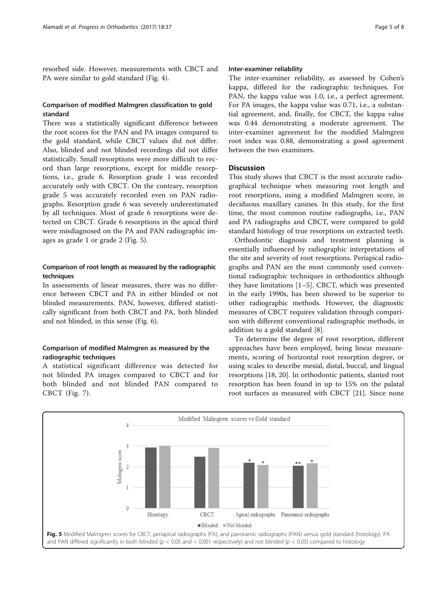resorbed side. However, measurements with CBCT and PA were similar to gold standard (Fig. [4\)](#page-3-0).

## Comparison of modified Malmgren classification to gold standard

There was a statistically significant difference between the root scores for the PAN and PA images compared to the gold standard, while CBCT values did not differ. Also, blinded and not blinded recordings did not differ statistically. Small resorptions were more difficult to record than large resorptions, except for middle resorptions, i.e., grade 6. Resorption grade 1 was recorded accurately only with CBCT. On the contrary, resorption grade 5 was accurately recorded even on PAN radiographs. Resorption grade 6 was severely underestimated by all techniques. Most of grade 6 resorptions were detected on CBCT. Grade 6 resorptions in the apical third were misdiagnosed on the PA and PAN radiographic images as grade 1 or grade 2 (Fig. 5).

## Comparison of root length as measured by the radiographic techniques

In assessments of linear measures, there was no difference between CBCT and PA in either blinded or not blinded measurements. PAN, however, differed statistically significant from both CBCT and PA, both blinded and not blinded, in this sense (Fig. [6\)](#page-5-0).

## Comparison of modified Malmgren as measured by the radiographic techniques

A statistical significant difference was detected for not blinded PA images compared to CBCT and for both blinded and not blinded PAN compared to CBCT (Fig. [7](#page-5-0)).

#### Inter-examiner reliability

The inter-examiner reliability, as assessed by Cohen's kappa, differed for the radiographic techniques. For PAN, the kappa value was 1.0, i.e., a perfect agreement. For PA images, the kappa value was 0.71, i.e., a substantial agreement, and, finally, for CBCT, the kappa value was 0.44 demonstrating a moderate agreement. The inter-examiner agreement for the modified Malmgren root index was 0.88, demonstrating a good agreement between the two examiners.

## **Discussion**

This study shows that CBCT is the most accurate radiographical technique when measuring root length and root resorptions, using a modified Malmgren score, in deciduous maxillary canines. In this study, for the first time, the most common routine radiographs, i.e., PAN and PA radiographs and CBCT, were compared to gold standard histology of true resorptions on extracted teeth.

Orthodontic diagnosis and treatment planning is essentially influenced by radiographic interpretations of the site and severity of root resorptions. Periapical radiographs and PAN are the most commonly used conventional radiographic techniques in orthodontics although they have limitations [\[1](#page-6-0)–[5\]](#page-6-0). CBCT, which was presented in the early 1990s, has been showed to be superior to other radiographic methods. However, the diagnostic measures of CBCT requires validation through comparison with different conventional radiographic methods, in addition to a gold standard [[8\]](#page-6-0).

To determine the degree of root resorption, different approaches have been employed, being linear measurements, scoring of horizontal root resorption degree, or using scales to describe mesial, distal, buccal, and lingual resorptions [[18, 20](#page-7-0)]. In orthodontic patients, slanted root resorption has been found in up to 15% on the palatal root surfaces as measured with CBCT [\[21](#page-7-0)]. Since none

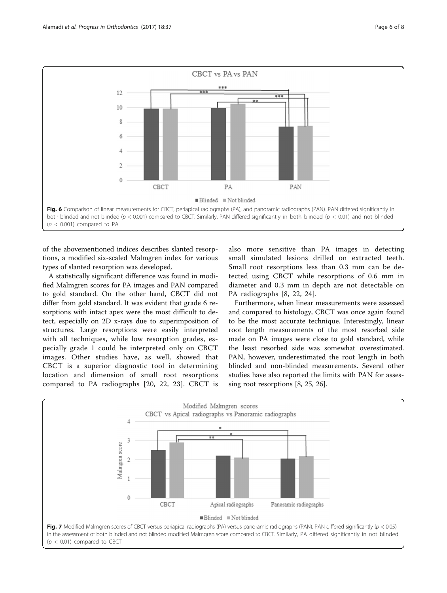<span id="page-5-0"></span>

of the abovementioned indices describes slanted resorptions, a modified six-scaled Malmgren index for various types of slanted resorption was developed.

A statistically significant difference was found in modified Malmgren scores for PA images and PAN compared to gold standard. On the other hand, CBCT did not differ from gold standard. It was evident that grade 6 resorptions with intact apex were the most difficult to detect, especially on 2D x-rays due to superimposition of structures. Large resorptions were easily interpreted with all techniques, while low resorption grades, especially grade 1 could be interpreted only on CBCT images. Other studies have, as well, showed that CBCT is a superior diagnostic tool in determining location and dimension of small root resorptions compared to PA radiographs [[20, 22, 23\]](#page-7-0). CBCT is

also more sensitive than PA images in detecting small simulated lesions drilled on extracted teeth. Small root resorptions less than 0.3 mm can be detected using CBCT while resorptions of 0.6 mm in diameter and 0.3 mm in depth are not detectable on PA radiographs [\[8,](#page-6-0) [22, 24](#page-7-0)].

Furthermore, when linear measurements were assessed and compared to histology, CBCT was once again found to be the most accurate technique. Interestingly, linear root length measurements of the most resorbed side made on PA images were close to gold standard, while the least resorbed side was somewhat overestimated. PAN, however, underestimated the root length in both blinded and non-blinded measurements. Several other studies have also reported the limits with PAN for assessing root resorptions [\[8](#page-6-0), [25, 26\]](#page-7-0).

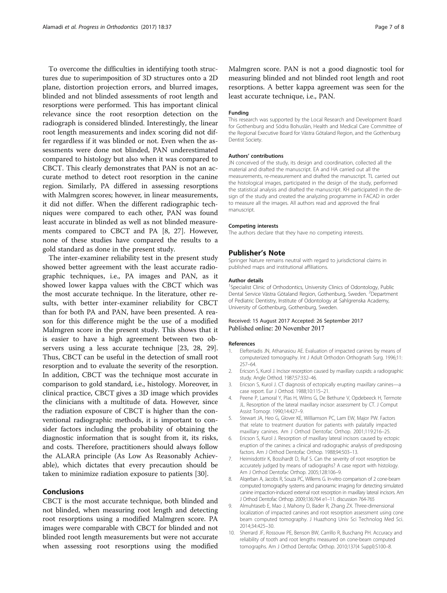<span id="page-6-0"></span>To overcome the difficulties in identifying tooth structures due to superimposition of 3D structures onto a 2D plane, distortion projection errors, and blurred images, blinded and not blinded assessments of root length and resorptions were performed. This has important clinical relevance since the root resorption detection on the radiograph is considered blinded. Interestingly, the linear root length measurements and index scoring did not differ regardless if it was blinded or not. Even when the assessments were done not blinded, PAN underestimated compared to histology but also when it was compared to CBCT. This clearly demonstrates that PAN is not an accurate method to detect root resorption in the canine region. Similarly, PA differed in assessing resorptions with Malmgren scores; however, in linear measurements, it did not differ. When the different radiographic techniques were compared to each other, PAN was found least accurate in blinded as well as not blinded measurements compared to CBCT and PA [8, [27\]](#page-7-0). However, none of these studies have compared the results to a gold standard as done in the present study.

The inter-examiner reliability test in the present study showed better agreement with the least accurate radiographic techniques, i.e., PA images and PAN, as it showed lower kappa values with the CBCT which was the most accurate technique. In the literature, other results, with better inter-examiner reliability for CBCT than for both PA and PAN, have been presented. A reason for this difference might be the use of a modified Malmgren score in the present study. This shows that it is easier to have a high agreement between two observers using a less accurate technique [\[23](#page-7-0), [28](#page-7-0), [29](#page-7-0)]. Thus, CBCT can be useful in the detection of small root resorption and to evaluate the severity of the resorption. In addition, CBCT was the technique most accurate in comparison to gold standard, i.e., histology. Moreover, in clinical practice, CBCT gives a 3D image which provides the clinicians with a multitude of data. However, since the radiation exposure of CBCT is higher than the conventional radiographic methods, it is important to consider factors including the probability of obtaining the diagnostic information that is sought from it, its risks, and costs. Therefore, practitioners should always follow the ALARA principle (As Low As Reasonably Achievable), which dictates that every precaution should be taken to minimize radiation exposure to patients [[30\]](#page-7-0).

## Conclusions

CBCT is the most accurate technique, both blinded and not blinded, when measuring root length and detecting root resorptions using a modified Malmgren score. PA images were comparable with CBCT for blinded and not blinded root length measurements but were not accurate when assessing root resorptions using the modified

Malmgren score. PAN is not a good diagnostic tool for measuring blinded and not blinded root length and root resorptions. A better kappa agreement was seen for the least accurate technique, i.e., PAN.

#### Funding

This research was supported by the Local Research and Development Board for Gothenburg and Södra Bohuslän, Health and Medical Care Committee of the Regional Executive Board for Västra Götaland Region, and the Gothenburg Dentist Society.

#### Authors' contributions

JN conceived of the study, its design and coordination, collected all the material and drafted the manuscript. EA and HA carried out all the measurements, re-measurement and drafted the manuscript. TL carried out the histological images, participated in the design of the study, performed the statistical analysis and drafted the manuscript. KH participated in the design of the study and created the analyzing programme in FACAD in order to measure all the images. All authors read and approved the final manuscript.

#### Competing interests

The authors declare that they have no competing interests.

#### Publisher's Note

Springer Nature remains neutral with regard to jurisdictional claims in published maps and institutional affiliations.

#### Author details

<sup>1</sup>Specialist Clinic of Orthodontics, University Clinics of Odontology, Public Dental Service Västra Götaland Region, Gothenburg, Sweden. <sup>2</sup>Department of Pediatric Dentistry, Institute of Odontology at Sahlgrenska Academy, University of Gothenburg, Gothenburg, Sweden.

#### Received: 15 August 2017 Accepted: 26 September 2017 Published online: 20 November 2017

#### References

- 1. Elefteriadis JN, Athanasiou AE. Evaluation of impacted canines by means of computerized tomography. Int J Adult Orthodon Orthognath Surg. 1996;11: 257–64.
- 2. Ericson S, Kurol J. Incisor resorption caused by maxillary cuspids: a radiographic study. Angle Orthod. 1987;57:332–46.
- 3. Ericson S, Kurol J. CT diagnosis of ectopically erupting maxillary canines—a case report. Eur J Orthod. 1988;10:115–21.
- 4. Peene P, Lamoral Y, Plas H, Wilms G, De Bethune V, Opdebeeck H, Termote JL. Resorption of the lateral maxillary incisor: assessment by CT. J Comput Assist Tomogr. 1990;14:427–9.
- 5. Stewart JA, Heo G, Glover KE, Williamson PC, Lam EW, Major PW. Factors that relate to treatment duration for patients with palatally impacted maxillary canines. Am J Orthod Dentofac Orthop. 2001;119:216–25.
- 6. Ericson S, Kurol J. Resorption of maxillary lateral incisors caused by ectopic eruption of the canines: a clinical and radiographic analysis of predisposing factors. Am J Orthod Dentofac Orthop. 1988;94:503–13.
- 7. Heimisdottir K, Bosshardt D, Ruf S. Can the severity of root resorption be accurately judged by means of radiographs? A case report with histology. Am J Orthod Dentofac Orthop. 2005;128:106–9.
- 8. Alqerban A, Jacobs R, Souza PC, Willems G. In-vitro comparison of 2 cone-beam computed tomography systems and panoramic imaging for detecting simulated canine impaction-induced external root resorption in maxillary lateral incisors. Am J Orthod Dentofac Orthop. 2009;136:764 e1–11. discussion 764-765
- 9. Almuhtaseb E, Mao J, Mahony D, Bader R, Zhang ZX. Three-dimensional localization of impacted canines and root resorption assessment using cone beam computed tomography. J Huazhong Univ Sci Technolog Med Sci. 2014;34:425–30.
- 10. Sherrard JF, Rossouw PE, Benson BW, Carrillo R, Buschang PH. Accuracy and reliability of tooth and root lengths measured on cone-beam computed tomographs. Am J Orthod Dentofac Orthop. 2010;137(4 Suppl):S100–8.